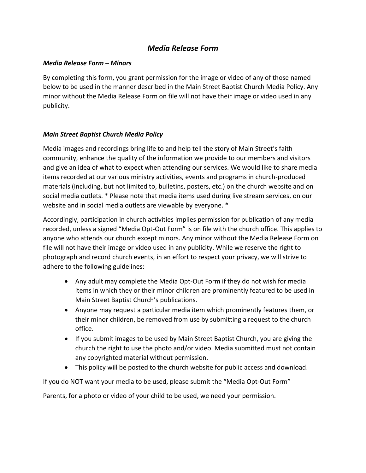## *Media Release Form*

## *Media Release Form – Minors*

By completing this form, you grant permission for the image or video of any of those named below to be used in the manner described in the Main Street Baptist Church Media Policy. Any minor without the Media Release Form on file will not have their image or video used in any publicity.

## *Main Street Baptist Church Media Policy*

Media images and recordings bring life to and help tell the story of Main Street's faith community, enhance the quality of the information we provide to our members and visitors and give an idea of what to expect when attending our services. We would like to share media items recorded at our various ministry activities, events and programs in church-produced materials (including, but not limited to, bulletins, posters, etc.) on the church website and on social media outlets. \* Please note that media items used during live stream services, on our website and in social media outlets are viewable by everyone. \*

Accordingly, participation in church activities implies permission for publication of any media recorded, unless a signed "Media Opt-Out Form" is on file with the church office. This applies to anyone who attends our church except minors. Any minor without the Media Release Form on file will not have their image or video used in any publicity. While we reserve the right to photograph and record church events, in an effort to respect your privacy, we will strive to adhere to the following guidelines:

- Any adult may complete the Media Opt-Out Form if they do not wish for media items in which they or their minor children are prominently featured to be used in Main Street Baptist Church's publications.
- Anyone may request a particular media item which prominently features them, or their minor children, be removed from use by submitting a request to the church office.
- If you submit images to be used by Main Street Baptist Church, you are giving the church the right to use the photo and/or video. Media submitted must not contain any copyrighted material without permission.
- This policy will be posted to the church website for public access and download.

If you do NOT want your media to be used, please submit the "Media Opt-Out Form"

Parents, for a photo or video of your child to be used, we need your permission.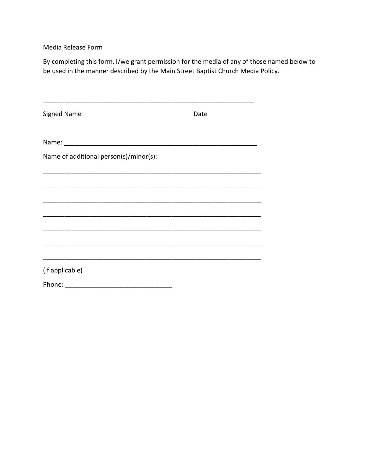Media Release Form

By completing this form, I/we grant permission for the media of any of those named below to be used in the manner described by the Main Street Baptist Church Media Policy.

| <b>Signed Name</b>                     | Date |  |
|----------------------------------------|------|--|
|                                        |      |  |
| Name of additional person(s)/minor(s): |      |  |
|                                        |      |  |
|                                        |      |  |
|                                        |      |  |
|                                        |      |  |
|                                        |      |  |
| (if applicable)                        |      |  |
| Phone:                                 |      |  |